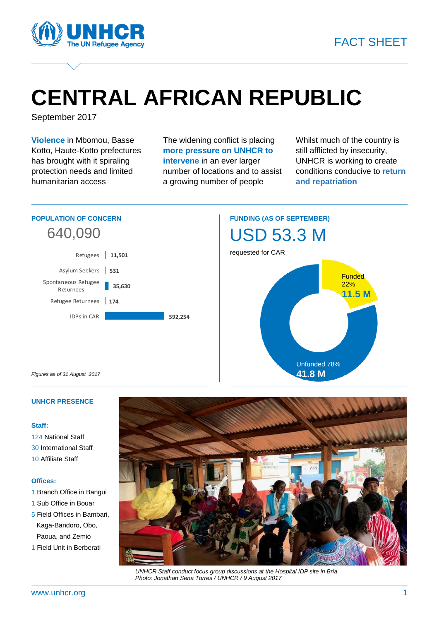

# **CENTRAL AFRICAN REPUBLIC**

September 2017

**Violence** in Mbomou, Basse Kotto, Haute-Kotto prefectures has brought with it spiraling protection needs and limited humanitarian access

The widening conflict is placing **more pressure on UNHCR to intervene** in an ever larger number of locations and to assist a growing number of people

Whilst much of the country is still afflicted by insecurity, UNHCR is working to create conditions conducive to **return and repatriation**

> **Funded** 22% **11.5 M**

Unfunded 78% **41.8 M**



*Figures as of 31 August 2017*

# **UNHCR PRESENCE**

### **Staff:**

- 124 National Staff
- 30 International Staff
- 10 Affiliate Staff

#### **Offices:**

- 1 Branch Office in Bangui
- 1 Sub Office in Bouar
- 5 Field Offices in Bambari, Kaga-Bandoro, Obo, Paoua, and Zemio
- 1 Field Unit in Berberati



*UNHCR Staff conduct focus group discussions at the Hospital IDP site in Bria. Photo: Jonathan Sena Torres / UNHCR / 9 August 2017*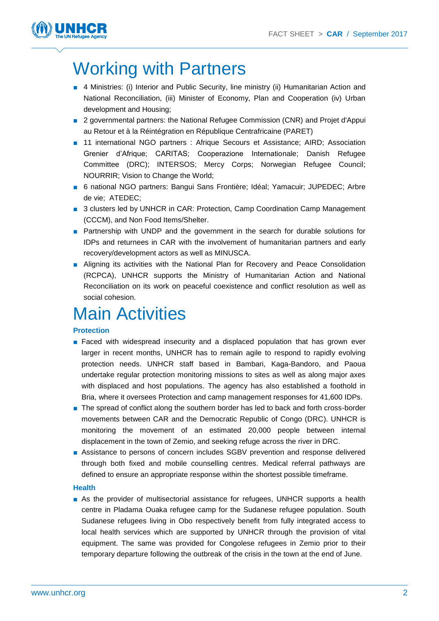

# Working with Partners

- 4 Ministries: (i) Interior and Public Security, line ministry (ii) Humanitarian Action and National Reconciliation, (iii) Minister of Economy, Plan and Cooperation (iv) Urban development and Housing;
- 2 governmental partners: the National Refugee Commission (CNR) and Projet d'Appui au Retour et à la Réintégration en République Centrafricaine (PARET)
- 11 international NGO partners : Afrique Secours et Assistance; AIRD; Association Grenier d'Afrique; CARITAS; Cooperazione Internationale; Danish Refugee Committee (DRC); INTERSOS; Mercy Corps; Norwegian Refugee Council; NOURRIR; Vision to Change the World;
- 6 national NGO partners: Bangui Sans Frontière; Idéal; Yamacuir; JUPEDEC; Arbre de vie; ATEDEC;
- 3 clusters led by UNHCR in CAR: Protection, Camp Coordination Camp Management (CCCM), and Non Food Items/Shelter.
- Partnership with UNDP and the government in the search for durable solutions for IDPs and returnees in CAR with the involvement of humanitarian partners and early recovery/development actors as well as MINUSCA.
- Aligning its activities with the National Plan for Recovery and Peace Consolidation (RCPCA), UNHCR supports the Ministry of Humanitarian Action and National Reconciliation on its work on peaceful coexistence and conflict resolution as well as social cohesion.

# Main Activities

# **Protection**

- Faced with widespread insecurity and a displaced population that has grown ever larger in recent months, UNHCR has to remain agile to respond to rapidly evolving protection needs. UNHCR staff based in Bambari, Kaga-Bandoro, and Paoua undertake regular protection monitoring missions to sites as well as along major axes with displaced and host populations. The agency has also established a foothold in Bria, where it oversees Protection and camp management responses for 41,600 IDPs.
- The spread of conflict along the southern border has led to back and forth cross-border movements between CAR and the Democratic Republic of Congo (DRC). UNHCR is monitoring the movement of an estimated 20,000 people between internal displacement in the town of Zemio, and seeking refuge across the river in DRC.
- Assistance to persons of concern includes SGBV prevention and response delivered through both fixed and mobile counselling centres. Medical referral pathways are defined to ensure an appropriate response within the shortest possible timeframe.

## **Health**

■ As the provider of multisectorial assistance for refugees, UNHCR supports a health centre in Pladama Ouaka refugee camp for the Sudanese refugee population. South Sudanese refugees living in Obo respectively benefit from fully integrated access to local health services which are supported by UNHCR through the provision of vital equipment. The same was provided for Congolese refugees in Zemio prior to their temporary departure following the outbreak of the crisis in the town at the end of June.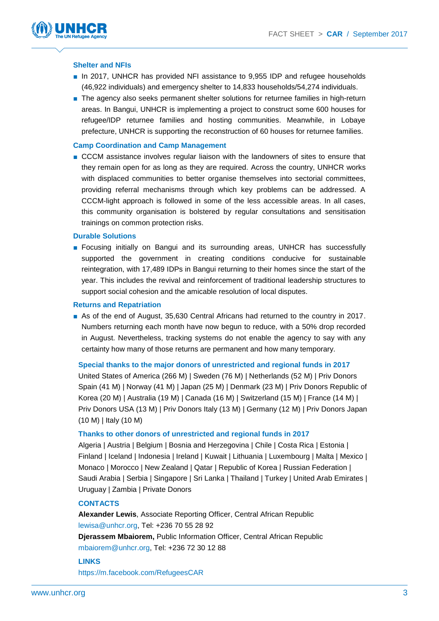

#### **Shelter and NFIs**

- In 2017, UNHCR has provided NFI assistance to 9,955 IDP and refugee households (46,922 individuals) and emergency shelter to 14,833 households/54,274 individuals.
- The agency also seeks permanent shelter solutions for returnee families in high-return areas. In Bangui, UNHCR is implementing a project to construct some 600 houses for refugee/IDP returnee families and hosting communities. Meanwhile, in Lobaye prefecture, UNHCR is supporting the reconstruction of 60 houses for returnee families.

#### **Camp Coordination and Camp Management**

■ CCCM assistance involves regular liaison with the landowners of sites to ensure that they remain open for as long as they are required. Across the country, UNHCR works with displaced communities to better organise themselves into sectorial committees, providing referral mechanisms through which key problems can be addressed. A CCCM-light approach is followed in some of the less accessible areas. In all cases, this community organisation is bolstered by regular consultations and sensitisation trainings on common protection risks.

#### **Durable Solutions**

■ Focusing initially on Bangui and its surrounding areas, UNHCR has successfully supported the government in creating conditions conducive for sustainable reintegration, with 17,489 IDPs in Bangui returning to their homes since the start of the year. This includes the revival and reinforcement of traditional leadership structures to support social cohesion and the amicable resolution of local disputes.

#### **Returns and Repatriation**

■ As of the end of August, 35,630 Central Africans had returned to the country in 2017. Numbers returning each month have now begun to reduce, with a 50% drop recorded in August. Nevertheless, tracking systems do not enable the agency to say with any certainty how many of those returns are permanent and how many temporary.

#### **Special thanks to the major donors of unrestricted and regional funds in 2017**

United States of America (266 M) | Sweden (76 M) | Netherlands (52 M) | Priv Donors Spain (41 M) | Norway (41 M) | Japan (25 M) | Denmark (23 M) | Priv Donors Republic of Korea (20 M) | Australia (19 M) | Canada (16 M) | Switzerland (15 M) | France (14 M) | Priv Donors USA (13 M) | Priv Donors Italy (13 M) | Germany (12 M) | Priv Donors Japan (10 M) | Italy (10 M)

#### **Thanks to other donors of unrestricted and regional funds in 2017**

Algeria | Austria | Belgium | Bosnia and Herzegovina | Chile | Costa Rica | Estonia | Finland | Iceland | Indonesia | Ireland | Kuwait | Lithuania | Luxembourg | Malta | Mexico | Monaco | Morocco | New Zealand | Qatar | Republic of Korea | Russian Federation | Saudi Arabia | Serbia | Singapore | Sri Lanka | Thailand | Turkey | United Arab Emirates | Uruguay | Zambia | Private Donors

### **CONTACTS**

**Alexander Lewis**, Associate Reporting Officer, Central African Republic [lewisa@unhcr.org,](mailto:lewisa@unhcr.org) Tel: +236 70 55 28 92

**Djerassem Mbaiorem,** Public Information Officer, Central African Republic mbaiorem@unhcr.org, Tel: +236 72 30 12 88

# **LINKS**

https://m.facebook.com/RefugeesCAR